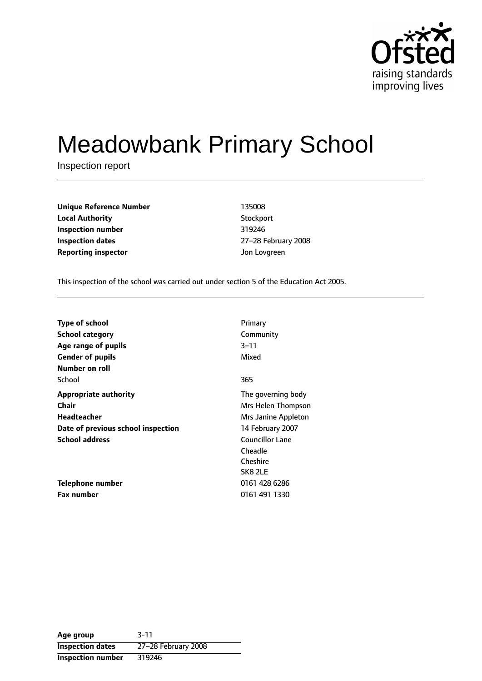

# Meadowbank Primary School

Inspection report

**Unique Reference Number** 135008 **Local Authority** Stockport **Inspection number** 319246 **Inspection dates** 27-28 February 2008 **Reporting inspector and a structure of the UP** development of Jon Lovgreen

This inspection of the school was carried out under section 5 of the Education Act 2005.

| <b>Type of school</b><br><b>School category</b><br>Age range of pupils<br><b>Gender of pupils</b><br>Number on roll | Primary<br>Community<br>$3 - 11$<br>Mixed                       |
|---------------------------------------------------------------------------------------------------------------------|-----------------------------------------------------------------|
| School                                                                                                              | 365                                                             |
| <b>Appropriate authority</b><br>Chair<br>Headteacher                                                                | The governing body<br>Mrs Helen Thompson<br>Mrs Janine Appleton |
| Date of previous school inspection                                                                                  | 14 February 2007                                                |
| <b>School address</b>                                                                                               | Councillor Lane<br>Cheadle<br>Cheshire<br>SK8 2LE               |
| Telephone number                                                                                                    | 0161 428 6286                                                   |
| <b>Fax number</b>                                                                                                   | 0161 491 1330                                                   |

**Age group** 3-11 **Inspection dates** 27-28 February 2008 **Inspection number** 319246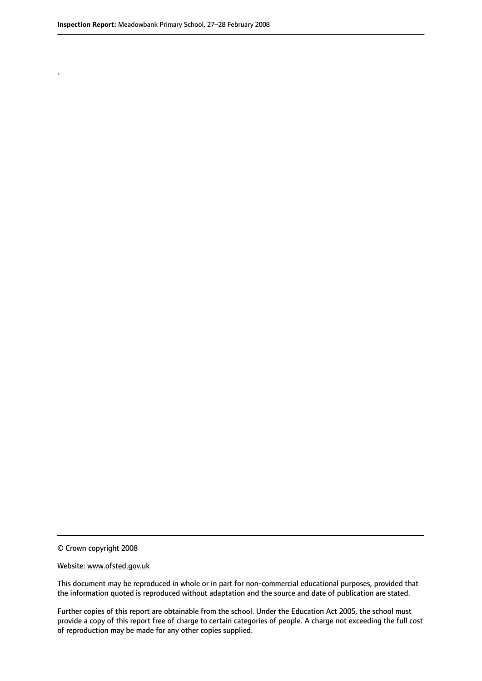.

© Crown copyright 2008

#### Website: www.ofsted.gov.uk

This document may be reproduced in whole or in part for non-commercial educational purposes, provided that the information quoted is reproduced without adaptation and the source and date of publication are stated.

Further copies of this report are obtainable from the school. Under the Education Act 2005, the school must provide a copy of this report free of charge to certain categories of people. A charge not exceeding the full cost of reproduction may be made for any other copies supplied.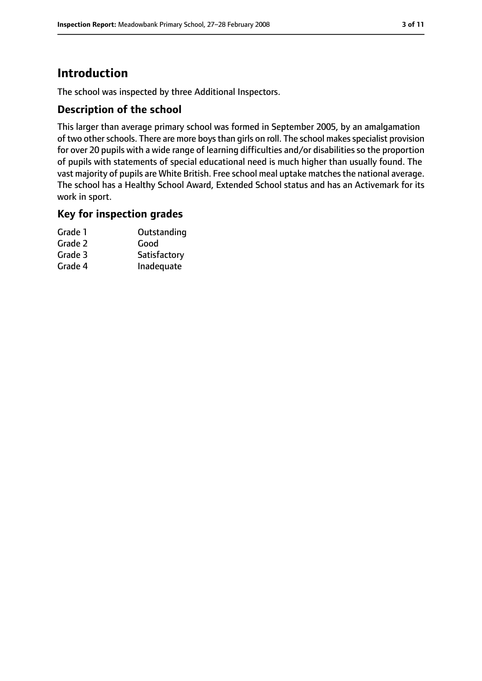# **Introduction**

The school was inspected by three Additional Inspectors.

## **Description of the school**

This larger than average primary school was formed in September 2005, by an amalgamation of two other schools. There are more boys than girls on roll. The school makes specialist provision for over 20 pupils with a wide range of learning difficulties and/or disabilities so the proportion of pupils with statements of special educational need is much higher than usually found. The vast majority of pupils are White British. Free school meal uptake matchesthe national average. The school has a Healthy School Award, Extended School status and has an Activemark for its work in sport.

## **Key for inspection grades**

| Grade 1 | Outstanding  |
|---------|--------------|
| Grade 2 | Good         |
| Grade 3 | Satisfactory |
| Grade 4 | Inadequate   |
|         |              |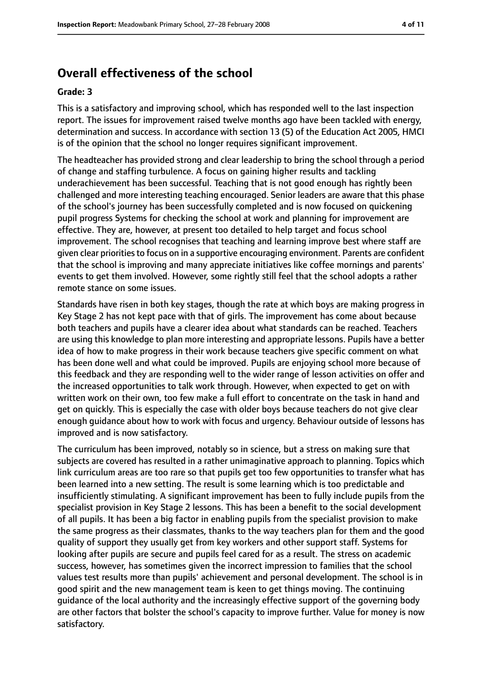# **Overall effectiveness of the school**

#### **Grade: 3**

This is a satisfactory and improving school, which has responded well to the last inspection report. The issues for improvement raised twelve months ago have been tackled with energy, determination and success. In accordance with section 13 (5) of the Education Act 2005, HMCI is of the opinion that the school no longer requires significant improvement.

The headteacher has provided strong and clear leadership to bring the school through a period of change and staffing turbulence. A focus on gaining higher results and tackling underachievement has been successful. Teaching that is not good enough has rightly been challenged and more interesting teaching encouraged. Senior leaders are aware that this phase of the school's journey has been successfully completed and is now focused on quickening pupil progress Systems for checking the school at work and planning for improvement are effective. They are, however, at present too detailed to help target and focus school improvement. The school recognises that teaching and learning improve best where staff are given clear prioritiesto focus on in a supportive encouraging environment. Parents are confident that the school is improving and many appreciate initiatives like coffee mornings and parents' events to get them involved. However, some rightly still feel that the school adopts a rather remote stance on some issues.

Standards have risen in both key stages, though the rate at which boys are making progress in Key Stage 2 has not kept pace with that of girls. The improvement has come about because both teachers and pupils have a clearer idea about what standards can be reached. Teachers are using this knowledge to plan more interesting and appropriate lessons. Pupils have a better idea of how to make progress in their work because teachers give specific comment on what has been done well and what could be improved. Pupils are enjoying school more because of this feedback and they are responding well to the wider range of lesson activities on offer and the increased opportunities to talk work through. However, when expected to get on with written work on their own, too few make a full effort to concentrate on the task in hand and get on quickly. This is especially the case with older boys because teachers do not give clear enough guidance about how to work with focus and urgency. Behaviour outside of lessons has improved and is now satisfactory.

The curriculum has been improved, notably so in science, but a stress on making sure that subjects are covered has resulted in a rather unimaginative approach to planning. Topics which link curriculum areas are too rare so that pupils get too few opportunities to transfer what has been learned into a new setting. The result is some learning which is too predictable and insufficiently stimulating. A significant improvement has been to fully include pupils from the specialist provision in Key Stage 2 lessons. This has been a benefit to the social development of all pupils. It has been a big factor in enabling pupils from the specialist provision to make the same progress as their classmates, thanks to the way teachers plan for them and the good quality of support they usually get from key workers and other support staff. Systems for looking after pupils are secure and pupils feel cared for as a result. The stress on academic success, however, has sometimes given the incorrect impression to families that the school values test results more than pupils' achievement and personal development. The school is in good spirit and the new management team is keen to get things moving. The continuing guidance of the local authority and the increasingly effective support of the governing body are other factors that bolster the school's capacity to improve further. Value for money is now satisfactory.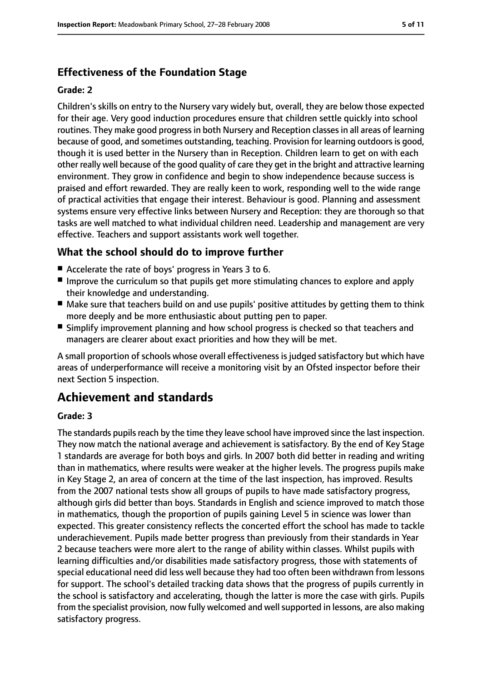# **Effectiveness of the Foundation Stage**

#### **Grade: 2**

Children's skills on entry to the Nursery vary widely but, overall, they are below those expected for their age. Very good induction procedures ensure that children settle quickly into school routines. They make good progress in both Nursery and Reception classes in all areas of learning because of good, and sometimes outstanding, teaching. Provision for learning outdoors is good, though it is used better in the Nursery than in Reception. Children learn to get on with each other really well because of the good quality of care they get in the bright and attractive learning environment. They grow in confidence and begin to show independence because success is praised and effort rewarded. They are really keen to work, responding well to the wide range of practical activities that engage their interest. Behaviour is good. Planning and assessment systems ensure very effective links between Nursery and Reception: they are thorough so that tasks are well matched to what individual children need. Leadership and management are very effective. Teachers and support assistants work well together.

# **What the school should do to improve further**

- Accelerate the rate of boys' progress in Years 3 to 6.
- Improve the curriculum so that pupils get more stimulating chances to explore and apply their knowledge and understanding.
- Make sure that teachers build on and use pupils' positive attitudes by getting them to think more deeply and be more enthusiastic about putting pen to paper.
- Simplify improvement planning and how school progress is checked so that teachers and managers are clearer about exact priorities and how they will be met.

A small proportion of schools whose overall effectiveness is judged satisfactory but which have areas of underperformance will receive a monitoring visit by an Ofsted inspector before their next Section 5 inspection.

# **Achievement and standards**

### **Grade: 3**

The standards pupils reach by the time they leave school have improved since the last inspection. They now match the national average and achievement is satisfactory. By the end of Key Stage 1 standards are average for both boys and girls. In 2007 both did better in reading and writing than in mathematics, where results were weaker at the higher levels. The progress pupils make in Key Stage 2, an area of concern at the time of the last inspection, has improved. Results from the 2007 national tests show all groups of pupils to have made satisfactory progress, although girls did better than boys. Standards in English and science improved to match those in mathematics, though the proportion of pupils gaining Level 5 in science was lower than expected. This greater consistency reflects the concerted effort the school has made to tackle underachievement. Pupils made better progress than previously from their standards in Year 2 because teachers were more alert to the range of ability within classes. Whilst pupils with learning difficulties and/or disabilities made satisfactory progress, those with statements of special educational need did less well because they had too often been withdrawn from lessons for support. The school's detailed tracking data shows that the progress of pupils currently in the school is satisfactory and accelerating, though the latter is more the case with girls. Pupils from the specialist provision, now fully welcomed and well supported in lessons, are also making satisfactory progress.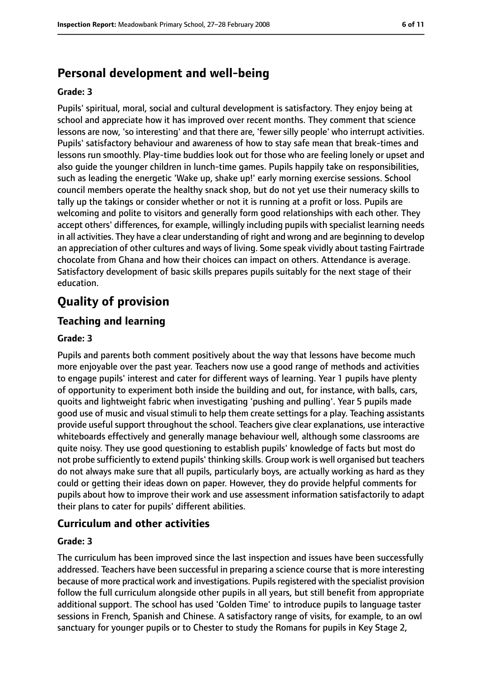# **Personal development and well-being**

#### **Grade: 3**

Pupils' spiritual, moral, social and cultural development is satisfactory. They enjoy being at school and appreciate how it has improved over recent months. They comment that science lessons are now, 'so interesting' and that there are, 'fewer silly people' who interrupt activities. Pupils' satisfactory behaviour and awareness of how to stay safe mean that break-times and lessons run smoothly. Play-time buddies look out for those who are feeling lonely or upset and also guide the younger children in lunch-time games. Pupils happily take on responsibilities, such as leading the energetic 'Wake up, shake up!' early morning exercise sessions. School council members operate the healthy snack shop, but do not yet use their numeracy skills to tally up the takings or consider whether or not it is running at a profit or loss. Pupils are welcoming and polite to visitors and generally form good relationships with each other. They accept others' differences, for example, willingly including pupils with specialist learning needs in all activities. They have a clear understanding of right and wrong and are beginning to develop an appreciation of other cultures and ways of living. Some speak vividly about tasting Fairtrade chocolate from Ghana and how their choices can impact on others. Attendance is average. Satisfactory development of basic skills prepares pupils suitably for the next stage of their education.

# **Quality of provision**

# **Teaching and learning**

#### **Grade: 3**

Pupils and parents both comment positively about the way that lessons have become much more enjoyable over the past year. Teachers now use a good range of methods and activities to engage pupils' interest and cater for different ways of learning. Year 1 pupils have plenty of opportunity to experiment both inside the building and out, for instance, with balls, cars, quoits and lightweight fabric when investigating 'pushing and pulling'. Year 5 pupils made good use of music and visual stimuli to help them create settings for a play. Teaching assistants provide useful support throughout the school. Teachers give clear explanations, use interactive whiteboards effectively and generally manage behaviour well, although some classrooms are quite noisy. They use good questioning to establish pupils' knowledge of facts but most do not probe sufficiently to extend pupils' thinking skills. Group work is well organised but teachers do not always make sure that all pupils, particularly boys, are actually working as hard as they could or getting their ideas down on paper. However, they do provide helpful comments for pupils about how to improve their work and use assessment information satisfactorily to adapt their plans to cater for pupils' different abilities.

# **Curriculum and other activities**

#### **Grade: 3**

The curriculum has been improved since the last inspection and issues have been successfully addressed. Teachers have been successful in preparing a science course that is more interesting because of more practical work and investigations. Pupilsregistered with the specialist provision follow the full curriculum alongside other pupils in all years, but still benefit from appropriate additional support. The school has used 'Golden Time' to introduce pupils to language taster sessions in French, Spanish and Chinese. A satisfactory range of visits, for example, to an owl sanctuary for younger pupils or to Chester to study the Romans for pupils in Key Stage 2,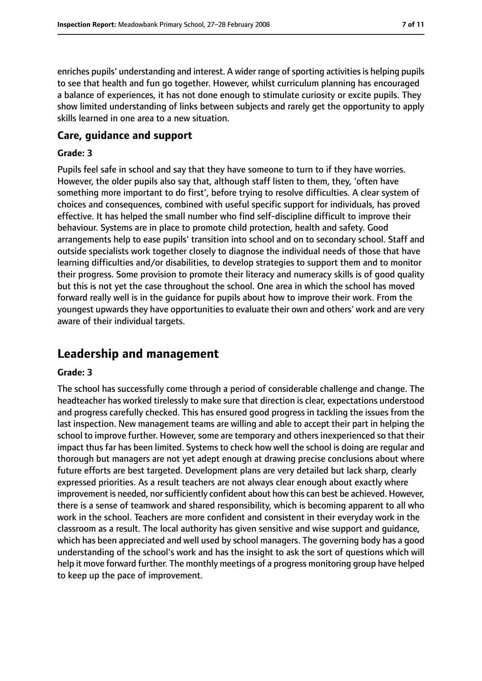enriches pupils' understanding and interest. A wider range of sporting activities is helping pupils to see that health and fun go together. However, whilst curriculum planning has encouraged a balance of experiences, it has not done enough to stimulate curiosity or excite pupils. They show limited understanding of links between subjects and rarely get the opportunity to apply skills learned in one area to a new situation.

#### **Care, guidance and support**

#### **Grade: 3**

Pupils feel safe in school and say that they have someone to turn to if they have worries. However, the older pupils also say that, although staff listen to them, they, 'often have something more important to do first', before trying to resolve difficulties. A clear system of choices and consequences, combined with useful specific support for individuals, has proved effective. It has helped the small number who find self-discipline difficult to improve their behaviour. Systems are in place to promote child protection, health and safety. Good arrangements help to ease pupils' transition into school and on to secondary school. Staff and outside specialists work together closely to diagnose the individual needs of those that have learning difficulties and/or disabilities, to develop strategies to support them and to monitor their progress. Some provision to promote their literacy and numeracy skills is of good quality but this is not yet the case throughout the school. One area in which the school has moved forward really well is in the guidance for pupils about how to improve their work. From the youngest upwards they have opportunities to evaluate their own and others' work and are very aware of their individual targets.

# **Leadership and management**

#### **Grade: 3**

The school has successfully come through a period of considerable challenge and change. The headteacher has worked tirelessly to make sure that direction is clear, expectations understood and progress carefully checked. This has ensured good progress in tackling the issues from the last inspection. New management teams are willing and able to accept their part in helping the school to improve further. However, some are temporary and others inexperienced so that their impact thus far has been limited. Systems to check how well the school is doing are regular and thorough but managers are not yet adept enough at drawing precise conclusions about where future efforts are best targeted. Development plans are very detailed but lack sharp, clearly expressed priorities. As a result teachers are not always clear enough about exactly where improvement is needed, nor sufficiently confident about how this can best be achieved. However, there is a sense of teamwork and shared responsibility, which is becoming apparent to all who work in the school. Teachers are more confident and consistent in their everyday work in the classroom as a result. The local authority has given sensitive and wise support and guidance, which has been appreciated and well used by school managers. The governing body has a good understanding of the school's work and has the insight to ask the sort of questions which will help it move forward further. The monthly meetings of a progress monitoring group have helped to keep up the pace of improvement.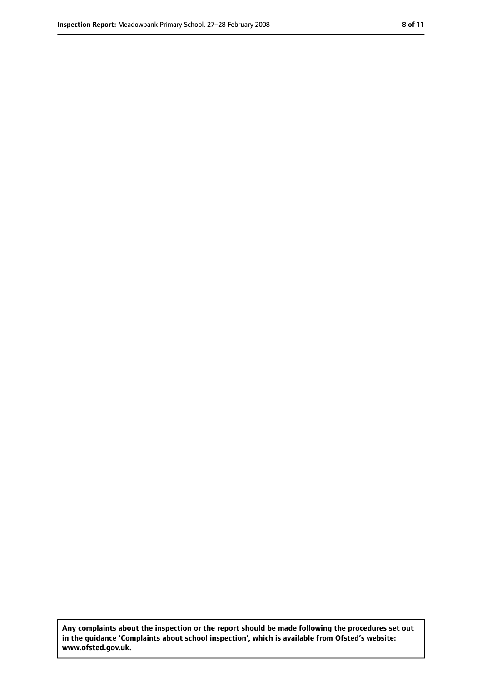**Any complaints about the inspection or the report should be made following the procedures set out in the guidance 'Complaints about school inspection', which is available from Ofsted's website: www.ofsted.gov.uk.**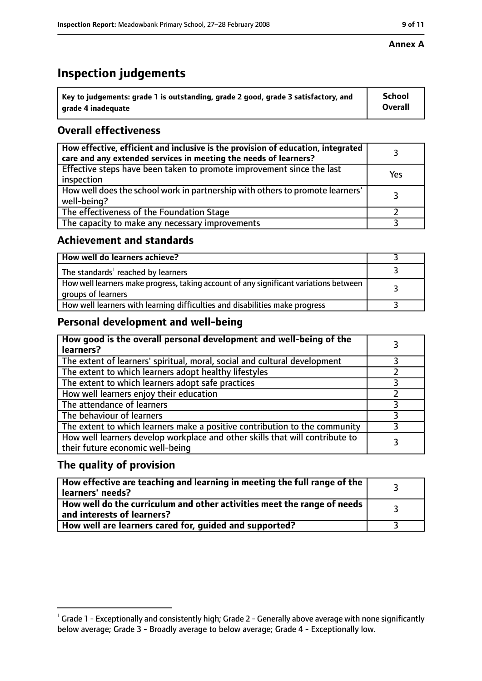# **Inspection judgements**

| $^{\backprime}$ Key to judgements: grade 1 is outstanding, grade 2 good, grade 3 satisfactory, and | <b>School</b>  |
|----------------------------------------------------------------------------------------------------|----------------|
| arade 4 inadequate                                                                                 | <b>Overall</b> |

# **Overall effectiveness**

| How effective, efficient and inclusive is the provision of education, integrated<br>care and any extended services in meeting the needs of learners? |     |
|------------------------------------------------------------------------------------------------------------------------------------------------------|-----|
| Effective steps have been taken to promote improvement since the last<br>inspection                                                                  | Yes |
| How well does the school work in partnership with others to promote learners'<br>well-being?                                                         |     |
| The effectiveness of the Foundation Stage                                                                                                            |     |
| The capacity to make any necessary improvements                                                                                                      |     |

## **Achievement and standards**

| How well do learners achieve?                                                                               |  |
|-------------------------------------------------------------------------------------------------------------|--|
| The standards <sup>1</sup> reached by learners                                                              |  |
| How well learners make progress, taking account of any significant variations between<br>groups of learners |  |
| How well learners with learning difficulties and disabilities make progress                                 |  |

# **Personal development and well-being**

| How good is the overall personal development and well-being of the<br>learners?                                  |  |
|------------------------------------------------------------------------------------------------------------------|--|
| The extent of learners' spiritual, moral, social and cultural development                                        |  |
| The extent to which learners adopt healthy lifestyles                                                            |  |
| The extent to which learners adopt safe practices                                                                |  |
| How well learners enjoy their education                                                                          |  |
| The attendance of learners                                                                                       |  |
| The behaviour of learners                                                                                        |  |
| The extent to which learners make a positive contribution to the community                                       |  |
| How well learners develop workplace and other skills that will contribute to<br>their future economic well-being |  |

# **The quality of provision**

| How effective are teaching and learning in meeting the full range of the<br>learners' needs?          |  |
|-------------------------------------------------------------------------------------------------------|--|
| How well do the curriculum and other activities meet the range of needs<br>and interests of learners? |  |
| How well are learners cared for, guided and supported?                                                |  |

 $^1$  Grade 1 - Exceptionally and consistently high; Grade 2 - Generally above average with none significantly below average; Grade 3 - Broadly average to below average; Grade 4 - Exceptionally low.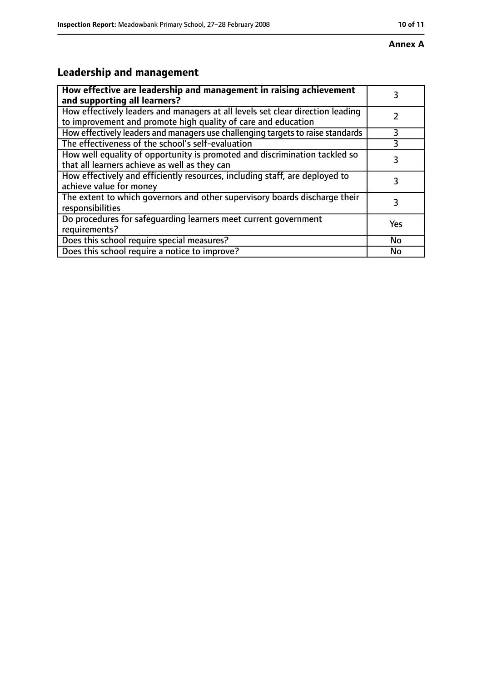# **Leadership and management**

| How effective are leadership and management in raising achievement<br>and supporting all learners?                                              | 3   |
|-------------------------------------------------------------------------------------------------------------------------------------------------|-----|
| How effectively leaders and managers at all levels set clear direction leading<br>to improvement and promote high quality of care and education |     |
| How effectively leaders and managers use challenging targets to raise standards                                                                 | 3   |
| The effectiveness of the school's self-evaluation                                                                                               |     |
| How well equality of opportunity is promoted and discrimination tackled so<br>that all learners achieve as well as they can                     | 3   |
| How effectively and efficiently resources, including staff, are deployed to<br>achieve value for money                                          | 3   |
| The extent to which governors and other supervisory boards discharge their<br>responsibilities                                                  | 3   |
| Do procedures for safequarding learners meet current government<br>requirements?                                                                | Yes |
| Does this school require special measures?                                                                                                      | No  |
| Does this school require a notice to improve?                                                                                                   | No  |